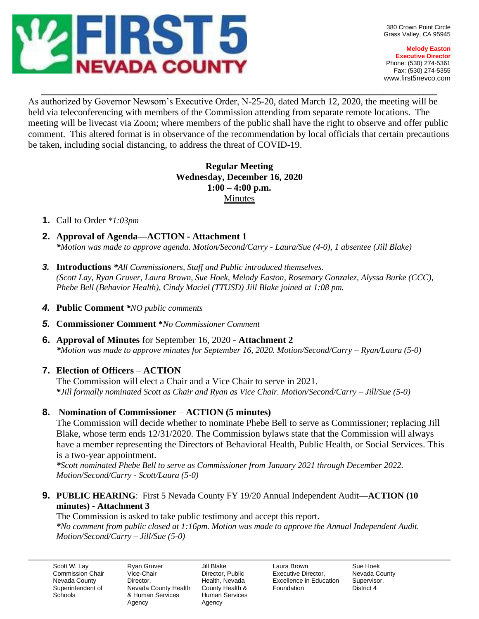

**Melody Easton Executive Director** Phone: (530) 274-5361 Fax: (530) 274-5355 www.first5nevco.com

As authorized by Governor Newsom's Executive Order, N-25-20, dated March 12, 2020, the meeting will be held via teleconferencing with members of the Commission attending from separate remote locations. The meeting will be livecast via Zoom; where members of the public shall have the right to observe and offer public comment. This altered format is in observance of the recommendation by local officials that certain precautions be taken, including social distancing, to address the threat of COVID-19.

 $\_$  , and the set of the set of the set of the set of the set of the set of the set of the set of the set of the set of the set of the set of the set of the set of the set of the set of the set of the set of the set of th

## **Regular Meeting Wednesday, December 16, 2020 1:00 – 4:00 p.m.** Minutes

#### **1.** Call to Order *\*1:03pm*

- **2. Approval of Agenda—ACTION - Attachment 1** *\*Motion was made to approve agenda. Motion/Second/Carry - Laura/Sue (4-0), 1 absentee (Jill Blake)*
- *3.* **Introductions** *\*All Commissioners, Staff and Public introduced themselves. (Scott Lay, Ryan Gruver, Laura Brown, Sue Hoek, Melody Easton, Rosemary Gonzalez, Alyssa Burke (CCC), Phebe Bell (Behavior Health), Cindy Maciel (TTUSD) Jill Blake joined at 1:08 pm.*
- *4.* **Public Comment** *\*NO public comments*
- *5.* **Commissioner Comment \****No Commissioner Comment*
- **6. Approval of Minutes** for September 16, 2020 **Attachment 2** *\*Motion was made to approve minutes for September 16, 2020. Motion/Second/Carry – Ryan/Laura (5-0)*

#### **7. Election of Officers** – **ACTION**

The Commission will elect a Chair and a Vice Chair to serve in 2021. *\*Jill formally nominated Scott as Chair and Ryan as Vice Chair. Motion/Second/Carry – Jill/Sue (5-0)*

#### **8. Nomination of Commissioner** – **ACTION (5 minutes)**

The Commission will decide whether to nominate Phebe Bell to serve as Commissioner; replacing Jill Blake, whose term ends 12/31/2020. The Commission bylaws state that the Commission will always have a member representing the Directors of Behavioral Health, Public Health, or Social Services. This is a two-year appointment.

*\*Scott nominated Phebe Bell to serve as Commissioner from January 2021 through December 2022. Motion/Second/Carry - Scott/Laura (5-0)*

**9. PUBLIC HEARING**: First 5 Nevada County FY 19/20 Annual Independent Audit**—ACTION (10 minutes) - Attachment 3** 

The Commission is asked to take public testimony and accept this report. *\*No comment from public closed at 1:16pm. Motion was made to approve the Annual Independent Audit. Motion/Second/Carry – Jill/Sue (5-0)*

Scott W. Lay Commission Chair Nevada County Superintendent of **Schools** 

Ryan Gruver Vice-Chair Director, Nevada County Health & Human Services Agency

Jill Blake Director, Public Health, Nevada County Health & Human Services Agency

Laura Brown Executive Director, Excellence in Education Foundation

Sue Hoek Nevada County Supervisor, District 4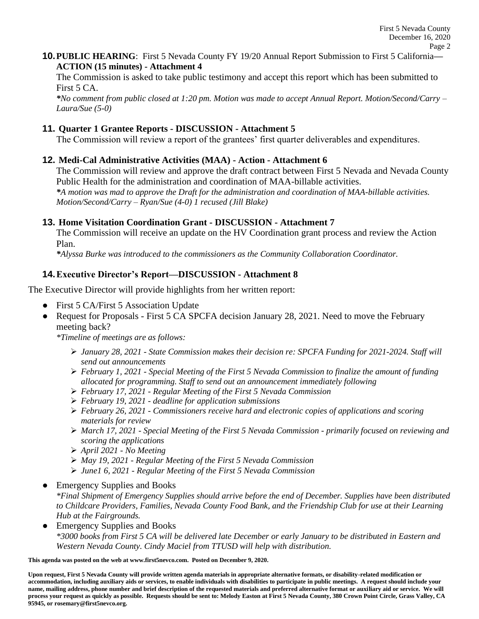**10.PUBLIC HEARING**: First 5 Nevada County FY 19/20 Annual Report Submission to First 5 California**— ACTION (15 minutes) - Attachment 4** 

The Commission is asked to take public testimony and accept this report which has been submitted to First 5 CA.

*\*No comment from public closed at 1:20 pm. Motion was made to accept Annual Report. Motion/Second/Carry – Laura/Sue (5-0)*

#### **11. Quarter 1 Grantee Reports - DISCUSSION - Attachment 5**

The Commission will review a report of the grantees' first quarter deliverables and expenditures.

## **12. Medi-Cal Administrative Activities (MAA) - Action - Attachment 6**

The Commission will review and approve the draft contract between First 5 Nevada and Nevada County Public Health for the administration and coordination of MAA-billable activities. *\*A motion was mad to approve the Draft for the administration and coordination of MAA-billable activities. Motion/Second/Carry – Ryan/Sue (4-0) 1 recused (Jill Blake)*

## **13. Home Visitation Coordination Grant - DISCUSSION - Attachment 7**

The Commission will receive an update on the HV Coordination grant process and review the Action Plan.

*\*Alyssa Burke was introduced to the commissioners as the Community Collaboration Coordinator.*

# **14.Executive Director's Report—DISCUSSION - Attachment 8**

The Executive Director will provide highlights from her written report:

- First 5 CA/First 5 Association Update
- Request for Proposals First 5 CA SPCFA decision January 28, 2021. Need to move the February meeting back?

*\*Timeline of meetings are as follows:*

- ➢ *January 28, 2021 - State Commission makes their decision re: SPCFA Funding for 2021-2024. Staff will send out announcements*
- ➢ *February 1, 2021 - Special Meeting of the First 5 Nevada Commission to finalize the amount of funding allocated for programming. Staff to send out an announcement immediately following*
- ➢ *February 17, 2021 - Regular Meeting of the First 5 Nevada Commission*
- ➢ *February 19, 2021 - deadline for application submissions*
- ➢ *February 26, 2021 - Commissioners receive hard and electronic copies of applications and scoring materials for review*
- ➢ *March 17, 2021 - Special Meeting of the First 5 Nevada Commission - primarily focused on reviewing and scoring the applications*
- ➢ *April 2021 - No Meeting*
- ➢ *May 19, 2021 - Regular Meeting of the First 5 Nevada Commission*
- ➢ *June1 6, 2021 - Regular Meeting of the First 5 Nevada Commission*
- Emergency Supplies and Books

*\*Final Shipment of Emergency Supplies should arrive before the end of December. Supplies have been distributed to Childcare Providers, Families, Nevada County Food Bank, and the Friendship Club for use at their Learning Hub at the Fairgrounds.* 

• Emergency Supplies and Books *\*3000 books from First 5 CA will be delivered late December or early January to be distributed in Eastern and Western Nevada County. Cindy Maciel from TTUSD will help with distribution.* 

**This agenda was posted on the web at www.first5nevco.com. Posted on December 9, 2020.**

**Upon request, First 5 Nevada County will provide written agenda materials in appropriate alternative formats, or disability-related modification or accommodation, including auxiliary aids or services, to enable individuals with disabilities to participate in public meetings. A request should include your name, mailing address, phone number and brief description of the requested materials and preferred alternative format or auxiliary aid or service. We will process your request as quickly as possible. Requests should be sent to: Melody Easton at First 5 Nevada County, 380 Crown Point Circle, Grass Valley, CA 95945, or rosemary@first5nevco.org.**